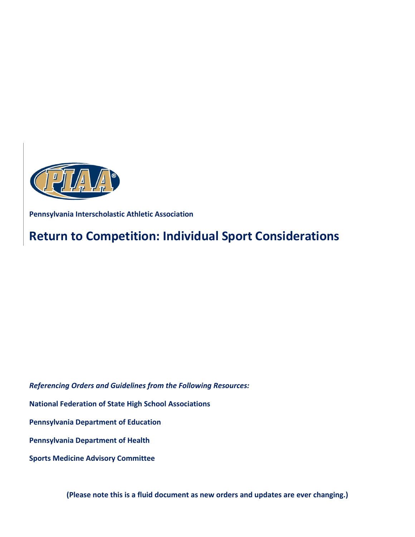

**Pennsylvania Interscholastic Athletic Association** 

# **Return to Competition: Individual Sport Considerations**

*Referencing Orders and Guidelines from the Following Resources:*

#### **National Federation of State High School Associations**

#### **Pennsylvania Department of Education**

#### **Pennsylvania Department of Health**

**Sports Medicine Advisory Committee**

**(Please note this is a fluid document as new orders and updates are ever changing.)**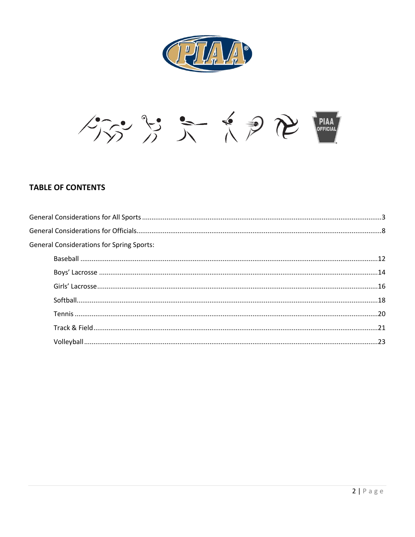



## **TABLE OF CONTENTS**

| <b>General Considerations for Spring Sports:</b> |  |
|--------------------------------------------------|--|
|                                                  |  |
|                                                  |  |
|                                                  |  |
|                                                  |  |
|                                                  |  |
|                                                  |  |
|                                                  |  |
|                                                  |  |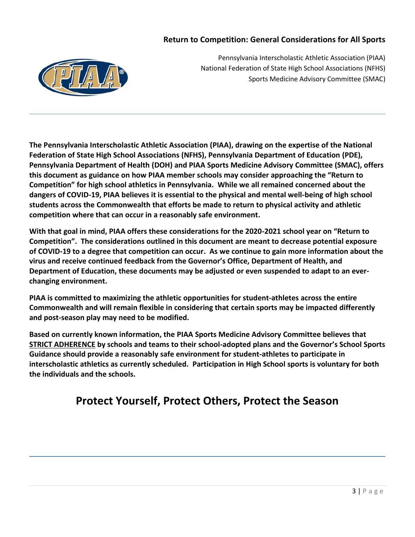# **Return to Competition: General Considerations for All Sports**



Pennsylvania Interscholastic Athletic Association (PIAA) National Federation of State High School Associations (NFHS) Sports Medicine Advisory Committee (SMAC)

**The Pennsylvania Interscholastic Athletic Association (PIAA), drawing on the expertise of the National Federation of State High School Associations (NFHS), Pennsylvania Department of Education (PDE), Pennsylvania Department of Health (DOH) and PIAA Sports Medicine Advisory Committee (SMAC), offers this document as guidance on how PIAA member schools may consider approaching the "Return to Competition" for high school athletics in Pennsylvania. While we all remained concerned about the dangers of COVID-19, PIAA believes it is essential to the physical and mental well-being of high school students across the Commonwealth that efforts be made to return to physical activity and athletic competition where that can occur in a reasonably safe environment.** 

**With that goal in mind, PIAA offers these considerations for the 2020-2021 school year on "Return to Competition". The considerations outlined in this document are meant to decrease potential exposure of COVID-19 to a degree that competition can occur. As we continue to gain more information about the virus and receive continued feedback from the Governor's Office, Department of Health, and Department of Education, these documents may be adjusted or even suspended to adapt to an everchanging environment.** 

**PIAA is committed to maximizing the athletic opportunities for student-athletes across the entire Commonwealth and will remain flexible in considering that certain sports may be impacted differently and post-season play may need to be modified.** 

**Based on currently known information, the PIAA Sports Medicine Advisory Committee believes that STRICT ADHERENCE by schools and teams to their school-adopted plans and the Governor's School Sports Guidance should provide a reasonably safe environment for student-athletes to participate in interscholastic athletics as currently scheduled. Participation in High School sports is voluntary for both the individuals and the schools.**

# **Protect Yourself, Protect Others, Protect the Season**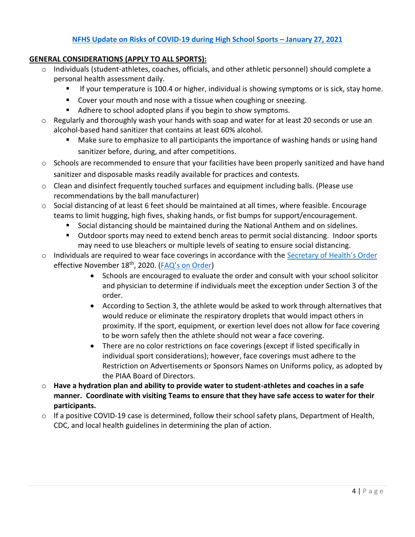# **[NFHS Update on Risks of COVID-19 during High School Sports](https://www.nfhs.org/media/4295118/nfhs-smac-statement-on-risk-of-covid-19-during-high-school-sports-january-27-2021-final.pdf) – January 27, 2021**

#### **GENERAL CONSIDERATIONS (APPLY TO ALL SPORTS):**

- o Individuals (student-athletes, coaches, officials, and other athletic personnel) should complete a personal health assessment daily.
	- If your temperature is 100.4 or higher, individual is showing symptoms or is sick, stay home.
	- Cover your mouth and nose with a tissue when coughing or sneezing.
	- Adhere to school adopted plans if you begin to show symptoms.
- $\circ$  Regularly and thoroughly wash your hands with soap and water for at least 20 seconds or use an alcohol-based hand sanitizer that contains at least 60% alcohol.
	- Make sure to emphasize to all participants the importance of washing hands or using hand sanitizer before, during, and after competitions.
- $\circ$  Schools are recommended to ensure that your facilities have been properly sanitized and have hand sanitizer and disposable masks readily available for practices and contests.
- o Clean and disinfect frequently touched surfaces and equipment including balls. (Please use recommendations by the ball manufacturer)
- $\circ$  Social distancing of at least 6 feet should be maintained at all times, where feasible. Encourage teams to limit hugging, high fives, shaking hands, or fist bumps for support/encouragement.
	- Social distancing should be maintained during the National Anthem and on sidelines.
	- Outdoor sports may need to extend bench areas to permit social distancing. Indoor sports may need to use bleachers or multiple levels of seating to ensure social distancing.
- o Individuals are required to wear face coverings in accordance with the [Secretary of](https://www.health.pa.gov/topics/Documents/Diseases%20and%20Conditions/Updated%20Order%20of%20the%20Secretary%20Requiring%20Universal%20Face%20Coverings.pdf) Health's Order effective November 18<sup>th</sup>, 2020. ([FAQ's on Order](https://www.health.pa.gov/topics/disease/coronavirus/Pages/Guidance/Universal-Masking-FAQ.aspx#:~:text=The%20Order%20requires%20individuals%20to%20wear%20a%20face%20covering%20when,to%20maintain%20sustained%20physical%20distance.))
	- Schools are encouraged to evaluate the order and consult with your school solicitor and physician to determine if individuals meet the exception under Section 3 of the order.
	- According to Section 3, the athlete would be asked to work through alternatives that would reduce or eliminate the respiratory droplets that would impact others in proximity. If the sport, equipment, or exertion level does not allow for face covering to be worn safely then the athlete should not wear a face covering.
	- There are no color restrictions on face coverings (except if listed specifically in individual sport considerations); however, face coverings must adhere to the Restriction on Advertisements or Sponsors Names on Uniforms policy, as adopted by the PIAA Board of Directors.
- o **Have a hydration plan and ability to provide water to student-athletes and coaches in a safe manner. Coordinate with visiting Teams to ensure that they have safe access to water for their participants.**
- $\circ$  If a positive COVID-19 case is determined, follow their school safety plans, Department of Health, CDC, and local health guidelines in determining the plan of action.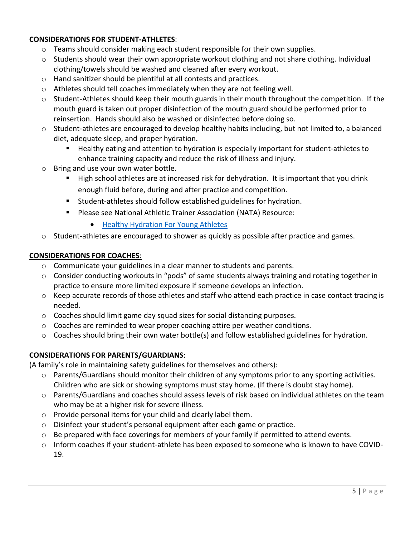# **CONSIDERATIONS FOR STUDENT-ATHLETES**:

- $\circ$  Teams should consider making each student responsible for their own supplies.
- $\circ$  Students should wear their own appropriate workout clothing and not share clothing. Individual clothing/towels should be washed and cleaned after every workout.
- o Hand sanitizer should be plentiful at all contests and practices.
- o Athletes should tell coaches immediately when they are not feeling well.
- $\circ$  Student-Athletes should keep their mouth guards in their mouth throughout the competition. If the mouth guard is taken out proper disinfection of the mouth guard should be performed prior to reinsertion. Hands should also be washed or disinfected before doing so.
- $\circ$  Student-athletes are encouraged to develop healthy habits including, but not limited to, a balanced diet, adequate sleep, and proper hydration.
	- Healthy eating and attention to hydration is especially important for student-athletes to enhance training capacity and reduce the risk of illness and injury.
- o Bring and use your own water bottle.
	- High school athletes are at increased risk for dehydration. It is important that you drink enough fluid before, during and after practice and competition.
	- Student-athletes should follow established guidelines for hydration.
	- Please see National Athletic Trainer Association (NATA) Resource:
		- [Healthy Hydration For Young Athletes](https://www.nata.org/sites/default/files/healthy-hydration-for-young-athletes.pdf)
- o Student-athletes are encouraged to shower as quickly as possible after practice and games.

#### **CONSIDERATIONS FOR COACHES**:

- o Communicate your guidelines in a clear manner to students and parents.
- o Consider conducting workouts in "pods" of same students always training and rotating together in practice to ensure more limited exposure if someone develops an infection.
- $\circ$  Keep accurate records of those athletes and staff who attend each practice in case contact tracing is needed.
- $\circ$  Coaches should limit game day squad sizes for social distancing purposes.
- $\circ$  Coaches are reminded to wear proper coaching attire per weather conditions.
- o Coaches should bring their own water bottle(s) and follow established guidelines for hydration.

## **CONSIDERATIONS FOR PARENTS/GUARDIANS**:

(A family's role in maintaining safety guidelines for themselves and others):

- $\circ$  Parents/Guardians should monitor their children of any symptoms prior to any sporting activities. Children who are sick or showing symptoms must stay home. (If there is doubt stay home).
- o Parents/Guardians and coaches should assess levels of risk based on individual athletes on the team who may be at a higher risk for severe illness.
- o Provide personal items for your child and clearly label them.
- o Disinfect your student's personal equipment after each game or practice.
- $\circ$  Be prepared with face coverings for members of your family if permitted to attend events.
- o Inform coaches if your student-athlete has been exposed to someone who is known to have COVID-19.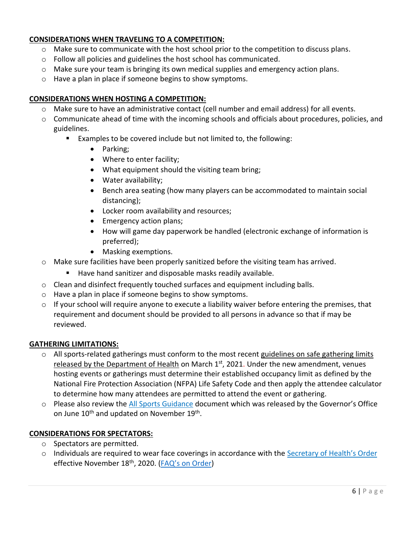# **CONSIDERATIONS WHEN TRAVELING TO A COMPETITION:**

- $\circ$  Make sure to communicate with the host school prior to the competition to discuss plans.
- o Follow all policies and guidelines the host school has communicated.
- $\circ$  Make sure your team is bringing its own medical supplies and emergency action plans.
- o Have a plan in place if someone begins to show symptoms.

#### **CONSIDERATIONS WHEN HOSTING A COMPETITION:**

- o Make sure to have an administrative contact (cell number and email address) for all events.
- o Communicate ahead of time with the incoming schools and officials about procedures, policies, and guidelines.
	- Examples to be covered include but not limited to, the following:
		- Parking;
		- Where to enter facility;
		- What equipment should the visiting team bring;
		- Water availability;
		- Bench area seating (how many players can be accommodated to maintain social distancing);
		- Locker room availability and resources;
		- Emergency action plans;
		- How will game day paperwork be handled (electronic exchange of information is preferred);
		- Masking exemptions.
- $\circ$  Make sure facilities have been properly sanitized before the visiting team has arrived.
	- Have hand sanitizer and disposable masks readily available.
- $\circ$  Clean and disinfect frequently touched surfaces and equipment including balls.
- o Have a plan in place if someone begins to show symptoms.
- $\circ$  If your school will require anyone to execute a liability waiver before entering the premises, that requirement and document should be provided to all persons in advance so that if may be reviewed.

#### **GATHERING LIMITATIONS:**

- o All sports-related gatherings must conform to the most recent guidelines on safe gathering limits [released by the Department of Health](https://www.pa.gov/guides/responding-to-covid-19/#COVIDMitigationinPennsylvania) on March  $1<sup>st</sup>$ , 2021. Under the new amendment, venues hosting events or gatherings must determine their established occupancy limit as defined by the National Fire Protection Association (NFPA) Life Safety Code and then apply the attendee calculator to determine how many attendees are permitted to attend the event or gathering.
- o Please also review the [All Sports Guidance](https://www.governor.pa.gov/covid-19/sports-guidance/) document which was released by the Governor's Office on June 10<sup>th</sup> and updated on November 19<sup>th</sup>.

#### **CONSIDERATIONS FOR SPECTATORS:**

- o Spectators are permitted.
- o Individuals are required to wear face coverings in accordance with the Secretar[y of Health's Order](https://www.health.pa.gov/topics/Documents/Diseases%20and%20Conditions/Updated%20Order%20of%20the%20Secretary%20Requiring%20Universal%20Face%20Coverings.pdf) effective November 18<sup>th</sup>, 2020. (FAQ's o[n Order\)](https://www.health.pa.gov/topics/disease/coronavirus/Pages/Guidance/Universal-Masking-FAQ.aspx#:~:text=The%20Order%20requires%20individuals%20to%20wear%20a%20face%20covering%20when,to%20maintain%20sustained%20physical%20distance.)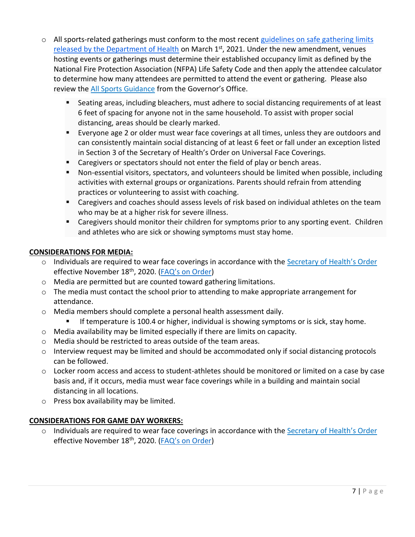- $\circ$  All sports-related gatherings must conform to the most recent guidelines on safe gathering limits [released by the Department of Health](https://www.pa.gov/guides/responding-to-covid-19/#COVIDMitigationinPennsylvania) on March 1<sup>st</sup>, 2021. Under the new amendment, venues hosting events or gatherings must determine their established occupancy limit as defined by the National Fire Protection Association (NFPA) Life Safety Code and then apply the attendee calculator to determine how many attendees are permitted to attend the event or gathering. Please also review the [All Sports Guidance](https://www.governor.pa.gov/covid-19/sports-guidance/) from the Governor's Office.
	- Seating areas, including bleachers, must adhere to social distancing requirements of at least 6 feet of spacing for anyone not in the same household. To assist with proper social distancing, areas should be clearly marked.
	- Everyone age 2 or older must wear face coverings at all times, unless they are outdoors and can consistently maintain social distancing of at least 6 feet or fall under an exception listed in Section 3 of the Secretary of Health's Order on Universal Face Coverings.
	- Caregivers or spectators should not enter the field of play or bench areas.
	- Non-essential visitors, spectators, and volunteers should be limited when possible, including activities with external groups or organizations. Parents should refrain from attending practices or volunteering to assist with coaching.
	- Caregivers and coaches should assess levels of risk based on individual athletes on the team who may be at a higher risk for severe illness.
	- Caregivers should monitor their children for symptoms prior to any sporting event. Children and athletes who are sick or showing symptoms must stay home.

## **CONSIDERATIONS FOR MEDIA:**

- o Individuals are required to wear face coverings in accordance with the [Secretary of Health's Order](https://www.health.pa.gov/topics/Documents/Diseases%20and%20Conditions/Updated%20Order%20of%20the%20Secretary%20Requiring%20Universal%20Face%20Coverings.pdf) effective November 18<sup>th</sup>, 2020. (FAQ's o[n Order\)](https://www.health.pa.gov/topics/disease/coronavirus/Pages/Guidance/Universal-Masking-FAQ.aspx#:~:text=The%20Order%20requires%20individuals%20to%20wear%20a%20face%20covering%20when,to%20maintain%20sustained%20physical%20distance.)
- o Media are permitted but are counted toward gathering limitations.
- $\circ$  The media must contact the school prior to attending to make appropriate arrangement for attendance.
- o Media members should complete a personal health assessment daily.
	- If temperature is 100.4 or higher, individual is showing symptoms or is sick, stay home.
- o Media availability may be limited especially if there are limits on capacity.
- o Media should be restricted to areas outside of the team areas.
- o Interview request may be limited and should be accommodated only if social distancing protocols can be followed.
- $\circ$  Locker room access and access to student-athletes should be monitored or limited on a case by case basis and, if it occurs, media must wear face coverings while in a building and maintain social distancing in all locations.
- o Press box availability may be limited.

## **CONSIDERATIONS FOR GAME DAY WORKERS:**

o Individuals are required to wear face coverings in accordance with the [Secretary of Health's Order](https://www.health.pa.gov/topics/Documents/Diseases%20and%20Conditions/Updated%20Order%20of%20the%20Secretary%20Requiring%20Universal%20Face%20Coverings.pdf) effective November 18<sup>th</sup>, 2020. ([FAQ's on Order](https://www.health.pa.gov/topics/disease/coronavirus/Pages/Guidance/Universal-Masking-FAQ.aspx#:~:text=The%20Order%20requires%20individuals%20to%20wear%20a%20face%20covering%20when,to%20maintain%20sustained%20physical%20distance.))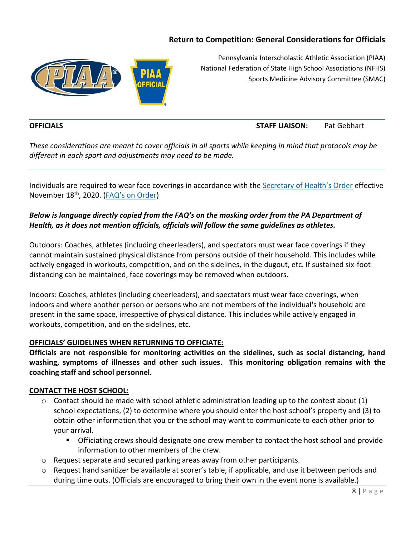# **Return to Competition: General Considerations for Officials**



Pennsylvania Interscholastic Athletic Association (PIAA) National Federation of State High School Associations (NFHS) Sports Medicine Advisory Committee (SMAC)

# **OFFICIALS STAFF LIAISON:** Pat Gebhart

*These considerations are meant to cover officials in all sports while keeping in mind that protocols may be different in each sport and adjustments may need to be made.*

Individuals are required to wear face coverings in accordance with the [Secretary of Health's Order](https://www.health.pa.gov/topics/Documents/Diseases%20and%20Conditions/Updated%20Order%20of%20the%20Secretary%20Requiring%20Universal%20Face%20Coverings.pdf) effective November 18th, 2020. ([FAQ's on Order](https://www.health.pa.gov/topics/disease/coronavirus/Pages/Guidance/Universal-Masking-FAQ.aspx#:~:text=The%20Order%20requires%20individuals%20to%20wear%20a%20face%20covering%20when,to%20maintain%20sustained%20physical%20distance.))

# *Below is language directly copied from the FAQ's on the masking order from the PA Department of Health, as it does not mention officials, officials will follow the same guidelines as athletes.*

Outdoors: Coaches, athletes (including cheerleaders), and spectators must wear face coverings if they cannot maintain sustained physical distance from persons outside of their household. This includes while actively engaged in workouts, competition, and on the sidelines, in the dugout, etc. If sustained six-foot distancing can be maintained, face coverings may be removed when outdoors.

Indoors: Coaches, athletes (including cheerleaders), and spectators must wear face coverings, when indoors and where another person or persons who are not members of the individual's household are present in the same space, irrespective of physical distance. This includes while actively engaged in workouts, competition, and on the sidelines, etc.

## **OFFICIALS' GUIDELINES WHEN RETURNING TO OFFICIATE:**

**Officials are not responsible for monitoring activities on the sidelines, such as social distancing, hand washing, symptoms of illnesses and other such issues. This monitoring obligation remains with the coaching staff and school personnel.**

#### **CONTACT THE HOST SCHOOL:**

- $\circ$  Contact should be made with school athletic administration leading up to the contest about (1) school expectations, (2) to determine where you should enter the host school's property and (3) to obtain other information that you or the school may want to communicate to each other prior to your arrival.
	- **•** Officiating crews should designate one crew member to contact the host school and provide information to other members of the crew.
- $\circ$  Request separate and secured parking areas away from other participants.
- o Request hand sanitizer be available at scorer's table, if applicable, and use it between periods and during time outs. (Officials are encouraged to bring their own in the event none is available.)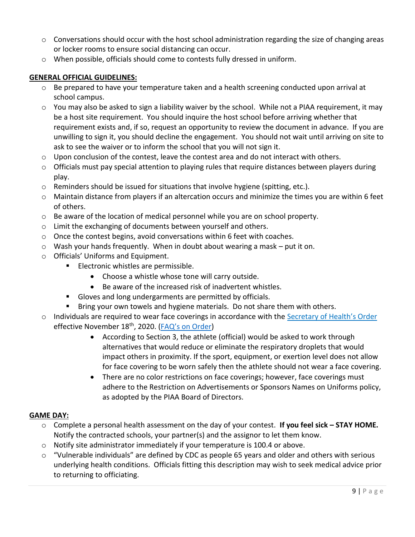- $\circ$  Conversations should occur with the host school administration regarding the size of changing areas or locker rooms to ensure social distancing can occur.
- o When possible, officials should come to contests fully dressed in uniform.

#### **GENERAL OFFICIAL GUIDELINES:**

- $\circ$  Be prepared to have your temperature taken and a health screening conducted upon arrival at school campus.
- $\circ$  You may also be asked to sign a liability waiver by the school. While not a PIAA requirement, it may be a host site requirement. You should inquire the host school before arriving whether that requirement exists and, if so, request an opportunity to review the document in advance. If you are unwilling to sign it, you should decline the engagement. You should not wait until arriving on site to ask to see the waiver or to inform the school that you will not sign it.
- o Upon conclusion of the contest, leave the contest area and do not interact with others.
- $\circ$  Officials must pay special attention to playing rules that require distances between players during play.
- o Reminders should be issued for situations that involve hygiene (spitting, etc.).
- o Maintain distance from players if an altercation occurs and minimize the times you are within 6 feet of others.
- $\circ$  Be aware of the location of medical personnel while you are on school property.
- o Limit the exchanging of documents between yourself and others.
- o Once the contest begins, avoid conversations within 6 feet with coaches.
- o Wash your hands frequently. When in doubt about wearing a mask put it on.
- o Officials' Uniforms and Equipment.
	- Electronic whistles are permissible.
		- Choose a whistle whose tone will carry outside.
		- Be aware of the increased risk of inadvertent whistles.
	- Gloves and long undergarments are permitted by officials.
	- Bring your own towels and hygiene materials. Do not share them with others.
- o Individuals are required to wear face coverings in accordance with the [Secretary of Health's Order](https://www.health.pa.gov/topics/Documents/Diseases%20and%20Conditions/Updated%20Order%20of%20the%20Secretary%20Requiring%20Universal%20Face%20Coverings.pdf) effective November 18<sup>th</sup>, 2020. (FAQ's o[n Order\)](https://www.health.pa.gov/topics/disease/coronavirus/Pages/Guidance/Universal-Masking-FAQ.aspx#:~:text=The%20Order%20requires%20individuals%20to%20wear%20a%20face%20covering%20when,to%20maintain%20sustained%20physical%20distance.)
	- According to Section 3, the athlete (official) would be asked to work through alternatives that would reduce or eliminate the respiratory droplets that would impact others in proximity. If the sport, equipment, or exertion level does not allow for face covering to be worn safely then the athlete should not wear a face covering.
	- There are no color restrictions on face coverings; however, face coverings must adhere to the Restriction on Advertisements or Sponsors Names on Uniforms policy, as adopted by the PIAA Board of Directors.

## **GAME DAY:**

- o Complete a personal health assessment on the day of your contest. **If you feel sick – STAY HOME.** Notify the contracted schools, your partner(s) and the assignor to let them know.
- o Notify site administrator immediately if your temperature is 100.4 or above.
- o "Vulnerable individuals" are defined by CDC as people 65 years and older and others with serious underlying health conditions. Officials fitting this description may wish to seek medical advice prior to returning to officiating.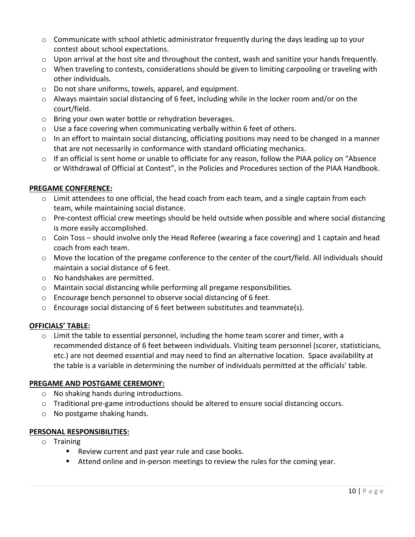- $\circ$  Communicate with school athletic administrator frequently during the days leading up to your contest about school expectations.
- $\circ$  Upon arrival at the host site and throughout the contest, wash and sanitize your hands frequently.
- $\circ$  When traveling to contests, considerations should be given to limiting carpooling or traveling with other individuals.
- o Do not share uniforms, towels, apparel, and equipment.
- o Always maintain social distancing of 6 feet, including while in the locker room and/or on the court/field.
- o Bring your own water bottle or rehydration beverages.
- $\circ$  Use a face covering when communicating verbally within 6 feet of others.
- $\circ$  In an effort to maintain social distancing, officiating positions may need to be changed in a manner that are not necessarily in conformance with standard officiating mechanics.
- $\circ$  If an official is sent home or unable to officiate for any reason, follow the PIAA policy on "Absence" or Withdrawal of Official at Contest", in the Policies and Procedures section of the PIAA Handbook.

## **PREGAME CONFERENCE:**

- $\circ$  Limit attendees to one official, the head coach from each team, and a single captain from each team, while maintaining social distance.
- $\circ$  Pre-contest official crew meetings should be held outside when possible and where social distancing is more easily accomplished.
- $\circ$  Coin Toss should involve only the Head Referee (wearing a face covering) and 1 captain and head coach from each team.
- $\circ$  Move the location of the pregame conference to the center of the court/field. All individuals should maintain a social distance of 6 feet.
- o No handshakes are permitted.
- o Maintain social distancing while performing all pregame responsibilities.
- o Encourage bench personnel to observe social distancing of 6 feet.
- $\circ$  Encourage social distancing of 6 feet between substitutes and teammate(s).

## **OFFICIALS' TABLE:**

 $\circ$  Limit the table to essential personnel, including the home team scorer and timer, with a recommended distance of 6 feet between individuals. Visiting team personnel (scorer, statisticians, etc.) are not deemed essential and may need to find an alternative location. Space availability at the table is a variable in determining the number of individuals permitted at the officials' table.

## **PREGAME AND POSTGAME CEREMONY:**

- o No shaking hands during introductions.
- $\circ$  Traditional pre-game introductions should be altered to ensure social distancing occurs.
- o No postgame shaking hands.

## **PERSONAL RESPONSIBILITIES:**

- o Training
	- Review current and past year rule and case books.
	- Attend online and in-person meetings to review the rules for the coming year.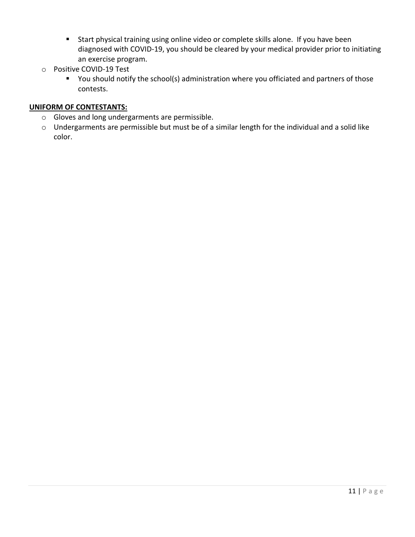- Start physical training using online video or complete skills alone. If you have been diagnosed with COVID-19, you should be cleared by your medical provider prior to initiating an exercise program.
- o Positive COVID-19 Test
	- You should notify the school(s) administration where you officiated and partners of those contests.

#### **UNIFORM OF CONTESTANTS:**

- o Gloves and long undergarments are permissible.
- o Undergarments are permissible but must be of a similar length for the individual and a solid like color.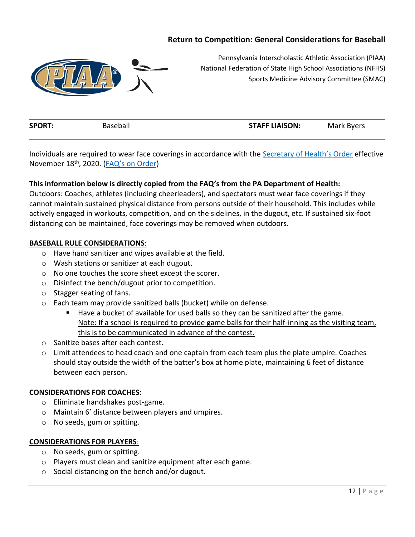# **Return to Competition: General Considerations for Baseball**



Pennsylvania Interscholastic Athletic Association (PIAA) National Federation of State High School Associations (NFHS) Sports Medicine Advisory Committee (SMAC)

| <b>SPORT:</b> | seball | <b>STAFF LIAISON:</b> | k Byers ? |
|---------------|--------|-----------------------|-----------|
|               |        |                       |           |

Individuals are required to wear face coverings in accordance with the [Secretary of Health's Order](https://www.health.pa.gov/topics/Documents/Diseases%20and%20Conditions/Updated%20Order%20of%20the%20Secretary%20Requiring%20Universal%20Face%20Coverings.pdf) effective November 18th, 2020. ([FAQ's on Order](https://www.health.pa.gov/topics/disease/coronavirus/Pages/Guidance/Universal-Masking-FAQ.aspx#:~:text=The%20Order%20requires%20individuals%20to%20wear%20a%20face%20covering%20when,to%20maintain%20sustained%20physical%20distance.))

#### **This information below is directly copied from the FAQ's from the PA Department of Health:**

Outdoors: Coaches, athletes (including cheerleaders), and spectators must wear face coverings if they cannot maintain sustained physical distance from persons outside of their household. This includes while actively engaged in workouts, competition, and on the sidelines, in the dugout, etc. If sustained six-foot distancing can be maintained, face coverings may be removed when outdoors.

#### **BASEBALL RULE CONSIDERATIONS**:

- o Have hand sanitizer and wipes available at the field.
- o Wash stations or sanitizer at each dugout.
- o No one touches the score sheet except the scorer.
- o Disinfect the bench/dugout prior to competition.
- o Stagger seating of fans.
- o Each team may provide sanitized balls (bucket) while on defense.
	- Have a bucket of available for used balls so they can be sanitized after the game. Note: If a school is required to provide game balls for their half-inning as the visiting team, this is to be communicated in advance of the contest.
- o Sanitize bases after each contest.
- $\circ$  Limit attendees to head coach and one captain from each team plus the plate umpire. Coaches should stay outside the width of the batter's box at home plate, maintaining 6 feet of distance between each person.

#### **CONSIDERATIONS FOR COACHES**:

- o Eliminate handshakes post-game.
- o Maintain 6' distance between players and umpires.
- o No seeds, gum or spitting.

#### **CONSIDERATIONS FOR PLAYERS**:

- o No seeds, gum or spitting.
- o Players must clean and sanitize equipment after each game.
- o Social distancing on the bench and/or dugout.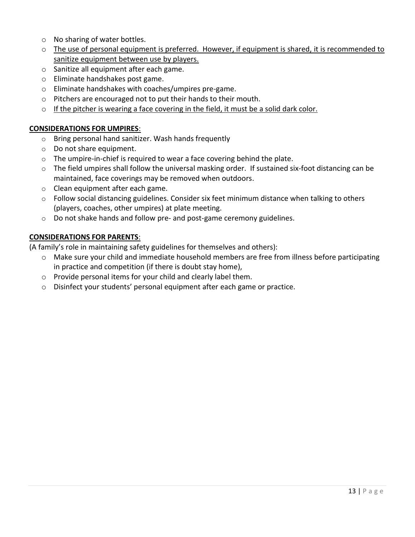- o No sharing of water bottles.
- $\circ$  The use of personal equipment is preferred. However, if equipment is shared, it is recommended to sanitize equipment between use by players.
- o Sanitize all equipment after each game.
- o Eliminate handshakes post game.
- o Eliminate handshakes with coaches/umpires pre-game.
- o Pitchers are encouraged not to put their hands to their mouth.
- $\circ$  If the pitcher is wearing a face covering in the field, it must be a solid dark color.

#### **CONSIDERATIONS FOR UMPIRES**:

- o Bring personal hand sanitizer. Wash hands frequently
- o Do not share equipment.
- o The umpire-in-chief is required to wear a face covering behind the plate.
- o The field umpires shall follow the universal masking order. If sustained six-foot distancing can be maintained, face coverings may be removed when outdoors.
- o Clean equipment after each game.
- $\circ$  Follow social distancing guidelines. Consider six feet minimum distance when talking to others (players, coaches, other umpires) at plate meeting.
- o Do not shake hands and follow pre- and post-game ceremony guidelines.

#### **CONSIDERATIONS FOR PARENTS**:

(A family's role in maintaining safety guidelines for themselves and others):

- o Make sure your child and immediate household members are free from illness before participating in practice and competition (if there is doubt stay home),
- o Provide personal items for your child and clearly label them.
- o Disinfect your students' personal equipment after each game or practice.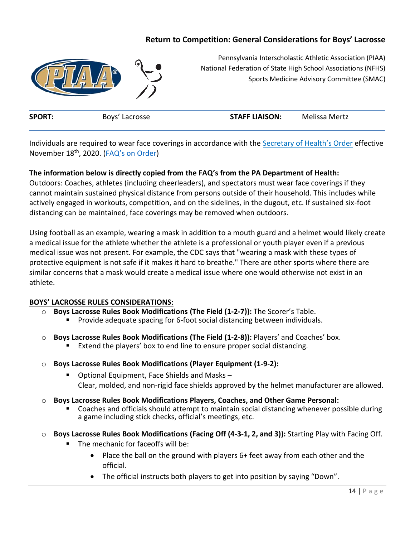# **Return to Competition: General Considerations for Boys' Lacrosse**



Pennsylvania Interscholastic Athletic Association (PIAA) National Federation of State High School Associations (NFHS) Sports Medicine Advisory Committee (SMAC)

|  | <b>SPORT</b><br><b>STAFF LIAISON:</b><br>50V <sup>2</sup><br>Mertz<br>osse |  |
|--|----------------------------------------------------------------------------|--|
|--|----------------------------------------------------------------------------|--|

Individuals are required to wear face coverings in accordance with the Secretary of [Health's Order](https://www.health.pa.gov/topics/Documents/Diseases%20and%20Conditions/Updated%20Order%20of%20the%20Secretary%20Requiring%20Universal%20Face%20Coverings.pdf) effective November 18<sup>th</sup>, 2020. ([FAQ's on Order](https://www.health.pa.gov/topics/disease/coronavirus/Pages/Guidance/Universal-Masking-FAQ.aspx#:~:text=The%20Order%20requires%20individuals%20to%20wear%20a%20face%20covering%20when,to%20maintain%20sustained%20physical%20distance.))

#### **The information below is directly copied from the FAQ's from the PA Department of Health:**

Outdoors: Coaches, athletes (including cheerleaders), and spectators must wear face coverings if they cannot maintain sustained physical distance from persons outside of their household. This includes while actively engaged in workouts, competition, and on the sidelines, in the dugout, etc. If sustained six-foot distancing can be maintained, face coverings may be removed when outdoors.

Using football as an example, wearing a mask in addition to a mouth guard and a helmet would likely create a medical issue for the athlete whether the athlete is a professional or youth player even if a previous medical issue was not present. For example, the CDC says that "wearing a mask with these types of protective equipment is not safe if it makes it hard to breathe." There are other sports where there are similar concerns that a mask would create a medical issue where one would otherwise not exist in an athlete.

#### **BOYS' LACROSSE RULES CONSIDERATIONS**:

- o **Boys Lacrosse Rules Book Modifications (The Field (1-2-7)):** The Scorer's Table. Provide adequate spacing for 6-foot social distancing between individuals.
- o **Boys Lacrosse Rules Book Modifications (The Field (1-2-8)):** Players' and Coaches' box. ■ Extend the players' box to end line to ensure proper social distancing.
- o **Boys Lacrosse Rules Book Modifications (Player Equipment (1-9-2):** 
	- Optional Equipment, Face Shields and Masks Clear, molded, and non-rigid face shields approved by the helmet manufacturer are allowed.
- o **Boys Lacrosse Rules Book Modifications Players, Coaches, and Other Game Personal:** 
	- Coaches and officials should attempt to maintain social distancing whenever possible during a game including stick checks, official's meetings, etc.
- o **Boys Lacrosse Rules Book Modifications (Facing Off (4-3-1, 2, and 3)):** Starting Play with Facing Off.
	- The mechanic for faceoffs will be:
		- Place the ball on the ground with players 6+ feet away from each other and the official.
		- The official instructs both players to get into position by saying "Down".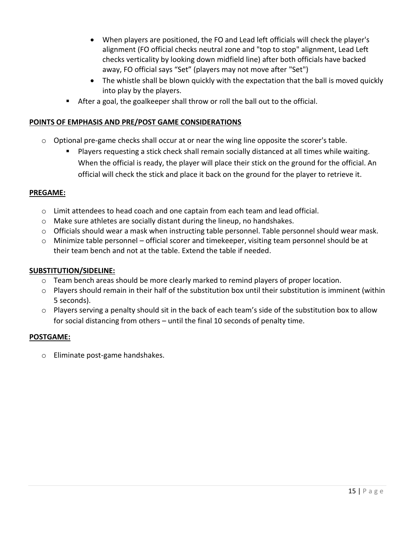- When players are positioned, the FO and Lead left officials will check the player's alignment (FO official checks neutral zone and "top to stop" alignment, Lead Left checks verticality by looking down midfield line) after both officials have backed away, FO official says "Set" (players may not move after "Set")
- The whistle shall be blown quickly with the expectation that the ball is moved quickly into play by the players.
- After a goal, the goalkeeper shall throw or roll the ball out to the official.

#### **POINTS OF EMPHASIS AND PRE/POST GAME CONSIDERATIONS**

- $\circ$  Optional pre-game checks shall occur at or near the wing line opposite the scorer's table.
	- Players requesting a stick check shall remain socially distanced at all times while waiting. When the official is ready, the player will place their stick on the ground for the official. An official will check the stick and place it back on the ground for the player to retrieve it.

#### **PREGAME:**

- $\circ$  Limit attendees to head coach and one captain from each team and lead official.
- o Make sure athletes are socially distant during the lineup, no handshakes.
- o Officials should wear a mask when instructing table personnel. Table personnel should wear mask.
- o Minimize table personnel official scorer and timekeeper, visiting team personnel should be at their team bench and not at the table. Extend the table if needed.

#### **SUBSTITUTION/SIDELINE:**

- $\circ$  Team bench areas should be more clearly marked to remind players of proper location.
- o Players should remain in their half of the substitution box until their substitution is imminent (within 5 seconds).
- $\circ$  Players serving a penalty should sit in the back of each team's side of the substitution box to allow for social distancing from others – until the final 10 seconds of penalty time.

#### **POSTGAME:**

o Eliminate post-game handshakes.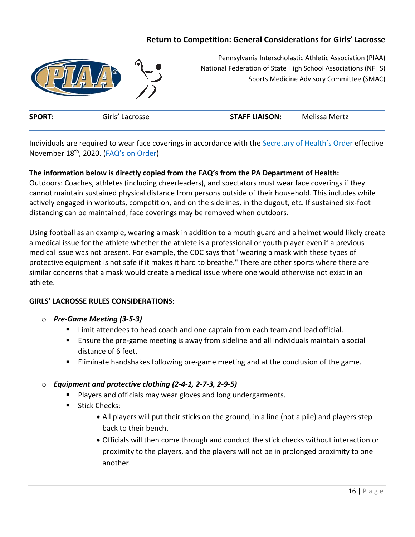# **Return to Competition: General Considerations for Girls' Lacrosse**



Pennsylvania Interscholastic Athletic Association (PIAA) National Federation of State High School Associations (NFHS) Sports Medicine Advisory Committee (SMAC)

|  | <b>SPORT</b><br>ماءنت | <b>STAFF LIAISON:</b><br>Mertz |  |
|--|-----------------------|--------------------------------|--|
|--|-----------------------|--------------------------------|--|

Individuals are required to wear face coverings in accordance with the [Secretary of Health's Order](https://www.health.pa.gov/topics/Documents/Diseases%20and%20Conditions/Updated%20Order%20of%20the%20Secretary%20Requiring%20Universal%20Face%20Coverings.pdf) effective November 18<sup>th</sup>, 2020. ([FAQ's on Order](https://www.health.pa.gov/topics/disease/coronavirus/Pages/Guidance/Universal-Masking-FAQ.aspx#:~:text=The%20Order%20requires%20individuals%20to%20wear%20a%20face%20covering%20when,to%20maintain%20sustained%20physical%20distance.))

#### **The information below is directly copied from the FAQ's from the PA Department of Health:**

Outdoors: Coaches, athletes (including cheerleaders), and spectators must wear face coverings if they cannot maintain sustained physical distance from persons outside of their household. This includes while actively engaged in workouts, competition, and on the sidelines, in the dugout, etc. If sustained six-foot distancing can be maintained, face coverings may be removed when outdoors.

Using football as an example, wearing a mask in addition to a mouth guard and a helmet would likely create a medical issue for the athlete whether the athlete is a professional or youth player even if a previous medical issue was not present. For example, the CDC says that "wearing a mask with these types of protective equipment is not safe if it makes it hard to breathe." There are other sports where there are similar concerns that a mask would create a medical issue where one would otherwise not exist in an athlete.

#### **GIRLS' LACROSSE RULES CONSIDERATIONS**:

- o *Pre-Game Meeting (3-5-3)*
	- Limit attendees to head coach and one captain from each team and lead official.
	- Ensure the pre-game meeting is away from sideline and all individuals maintain a social distance of 6 feet.
	- Eliminate handshakes following pre-game meeting and at the conclusion of the game.

#### o *Equipment and protective clothing (2-4-1, 2-7-3, 2-9-5)*

- Players and officials may wear gloves and long undergarments.
- Stick Checks:
	- All players will put their sticks on the ground, in a line (not a pile) and players step back to their bench.
	- Officials will then come through and conduct the stick checks without interaction or proximity to the players, and the players will not be in prolonged proximity to one another.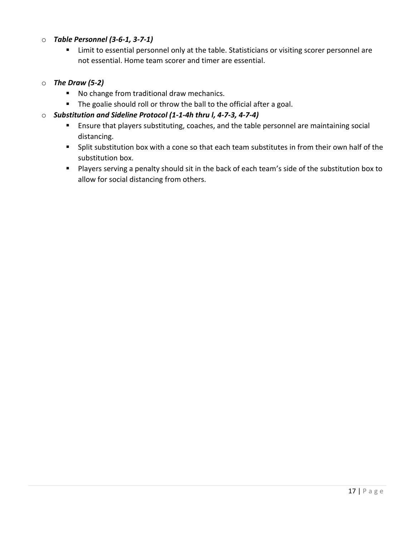#### o *Table Personnel (3-6-1, 3-7-1)*

■ Limit to essential personnel only at the table. Statisticians or visiting scorer personnel are not essential. Home team scorer and timer are essential.

#### o *The Draw (5-2)*

- No change from traditional draw mechanics.
- The goalie should roll or throw the ball to the official after a goal.

## o *Substitution and Sideline Protocol (1-1-4h thru l, 4-7-3, 4-7-4)*

- Ensure that players substituting, coaches, and the table personnel are maintaining social distancing.
- Split substitution box with a cone so that each team substitutes in from their own half of the substitution box.
- Players serving a penalty should sit in the back of each team's side of the substitution box to allow for social distancing from others.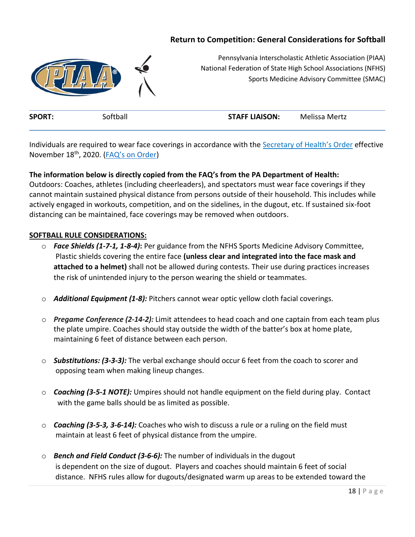# **Return to Competition: General Considerations for Softball**



Pennsylvania Interscholastic Athletic Association (PIAA) National Federation of State High School Associations (NFHS) Sports Medicine Advisory Committee (SMAC)

| <b>SPORT:</b> | Softball | <b>STAFF LIAISON:</b> | Melissa Mertz |
|---------------|----------|-----------------------|---------------|
|               |          |                       |               |

Individuals are required to wear face coverings in accordance with the Secretary of [Health's Order](https://www.health.pa.gov/topics/Documents/Diseases%20and%20Conditions/Updated%20Order%20of%20the%20Secretary%20Requiring%20Universal%20Face%20Coverings.pdf) effective November 18<sup>th</sup>, 2020. ([FAQ's on Order](https://www.health.pa.gov/topics/disease/coronavirus/Pages/Guidance/Universal-Masking-FAQ.aspx#:~:text=The%20Order%20requires%20individuals%20to%20wear%20a%20face%20covering%20when,to%20maintain%20sustained%20physical%20distance.))

#### **The information below is directly copied from the FAQ's from the PA Department of Health:**

Outdoors: Coaches, athletes (including cheerleaders), and spectators must wear face coverings if they cannot maintain sustained physical distance from persons outside of their household. This includes while actively engaged in workouts, competition, and on the sidelines, in the dugout, etc. If sustained six-foot distancing can be maintained, face coverings may be removed when outdoors.

#### **SOFTBALL RULE CONSIDERATIONS:**

- o *Face Shields (1-7-1, 1-8-4)***:** Per guidance from the NFHS Sports Medicine Advisory Committee, Plastic shields covering the entire face **(unless clear and integrated into the face mask and attached to a helmet)** shall not be allowed during contests. Their use during practices increases the risk of unintended injury to the person wearing the shield or teammates.
- o *Additional Equipment (1-8):* Pitchers cannot wear optic yellow cloth facial coverings.
- o *Pregame Conference (2-14-2):* Limit attendees to head coach and one captain from each team plus the plate umpire. Coaches should stay outside the width of the batter's box at home plate, maintaining 6 feet of distance between each person.
- o *Substitutions: (3-3-3):* The verbal exchange should occur 6 feet from the coach to scorer and opposing team when making lineup changes.
- o *Coaching (3-5-1 NOTE):* Umpires should not handle equipment on the field during play. Contact with the game balls should be as limited as possible.
- o *Coaching (3-5-3, 3-6-14):* Coaches who wish to discuss a rule or a ruling on the field must maintain at least 6 feet of physical distance from the umpire.
- o *Bench and Field Conduct (3-6-6):* The number of individuals in the dugout is dependent on the size of dugout. Players and coaches should maintain 6 feet of social distance. NFHS rules allow for dugouts/designated warm up areas to be extended toward the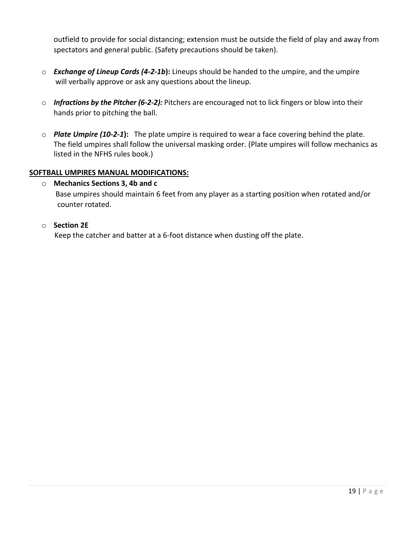outfield to provide for social distancing; extension must be outside the field of play and away from spectators and general public. (Safety precautions should be taken).

- o *Exchange of Lineup Cards (4-2-1b***):** Lineups should be handed to the umpire, and the umpire will verbally approve or ask any questions about the lineup.
- o *Infractions by the Pitcher (6-2-2):* Pitchers are encouraged not to lick fingers or blow into their hands prior to pitching the ball.
- o *Plate Umpire (10-2-1***):** The plate umpire is required to wear a face covering behind the plate. The field umpires shall follow the universal masking order. (Plate umpires will follow mechanics as listed in the NFHS rules book.)

#### **SOFTBALL UMPIRES MANUAL MODIFICATIONS:**

o **Mechanics Sections 3, 4b and c** Base umpires should maintain 6 feet from any player as a starting position when rotated and/or counter rotated.

#### o **Section 2E**

Keep the catcher and batter at a 6-foot distance when dusting off the plate.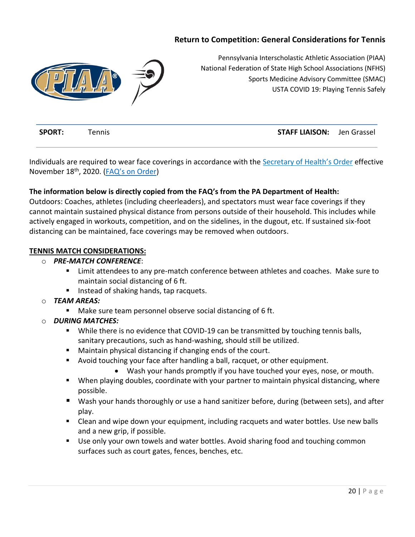# **Return to Competition: General Considerations for Tennis**



Pennsylvania Interscholastic Athletic Association (PIAA) National Federation of State High School Associations (NFHS) Sports Medicine Advisory Committee (SMAC) USTA COVID 19: Playing Tennis Safely

| <b>SPORT:</b> | Tennis | <b>STAFF LIAISON:</b> Jen Grassel |  |
|---------------|--------|-----------------------------------|--|
|               |        |                                   |  |

Individuals are required to wear face coverings in accordance with the [Secretary of Health's Order](https://www.health.pa.gov/topics/Documents/Diseases%20and%20Conditions/Updated%20Order%20of%20the%20Secretary%20Requiring%20Universal%20Face%20Coverings.pdf) effective November 18<sup>th</sup>, 2020. ([FAQ's on Order](https://www.health.pa.gov/topics/disease/coronavirus/Pages/Guidance/Universal-Masking-FAQ.aspx#:~:text=The%20Order%20requires%20individuals%20to%20wear%20a%20face%20covering%20when,to%20maintain%20sustained%20physical%20distance.))

#### **The information below is directly copied from the FAQ's from the PA Department of Health:**

Outdoors: Coaches, athletes (including cheerleaders), and spectators must wear face coverings if they cannot maintain sustained physical distance from persons outside of their household. This includes while actively engaged in workouts, competition, and on the sidelines, in the dugout, etc. If sustained six-foot distancing can be maintained, face coverings may be removed when outdoors.

# **TENNIS MATCH CONSIDERATIONS:**

#### o *PRE-MATCH CONFERENCE*:

- Limit attendees to any pre-match conference between athletes and coaches. Make sure to maintain social distancing of 6 ft.
- Instead of shaking hands, tap racquets.

#### o *TEAM AREAS:*

■ Make sure team personnel observe social distancing of 6 ft.

#### o *DURING MATCHES:*

- While there is no evidence that COVID-19 can be transmitted by touching tennis balls, sanitary precautions, such as hand-washing, should still be utilized.
- Maintain physical distancing if changing ends of the court.
- Avoid touching your face after handling a ball, racquet, or other equipment.
	- Wash your hands promptly if you have touched your eyes, nose, or mouth.
- When playing doubles, coordinate with your partner to maintain physical distancing, where possible.
- Wash your hands thoroughly or use a hand sanitizer before, during (between sets), and after play.
- Clean and wipe down your equipment, including racquets and water bottles. Use new balls and a new grip, if possible.
- Use only your own towels and water bottles. Avoid sharing food and touching common surfaces such as court gates, fences, benches, etc.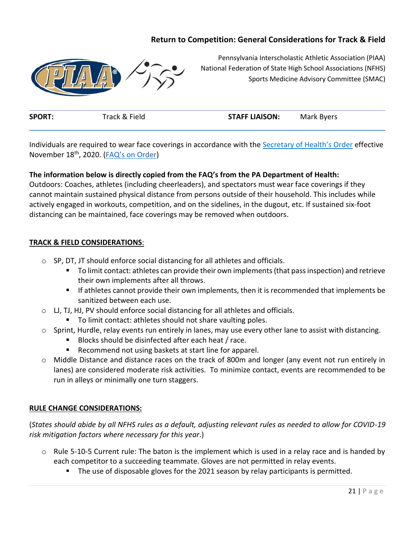# **Return to Competition: General Considerations for Track & Field**



Pennsylvania Interscholastic Athletic Association (PIAA) National Federation of State High School Associations (NFHS) Sports Medicine Advisory Committee (SMAC)

| <b>SPORT:</b> | Track & Field | <b>STAFF LIAISON:</b> | Mark Byers |
|---------------|---------------|-----------------------|------------|
|               |               |                       |            |

Individuals are required to wear face coverings in accordance with the Secretary of [Health's Order](https://www.health.pa.gov/topics/Documents/Diseases%20and%20Conditions/Updated%20Order%20of%20the%20Secretary%20Requiring%20Universal%20Face%20Coverings.pdf) effective November 18th, 2020. (FAQ's o[n Order\)](https://www.health.pa.gov/topics/disease/coronavirus/Pages/Guidance/Universal-Masking-FAQ.aspx#:~:text=The%20Order%20requires%20individuals%20to%20wear%20a%20face%20covering%20when,to%20maintain%20sustained%20physical%20distance.)

#### **The information below is directly copied from the FAQ's from the PA Department of Health:**

Outdoors: Coaches, athletes (including cheerleaders), and spectators must wear face coverings if they cannot maintain sustained physical distance from persons outside of their household. This includes while actively engaged in workouts, competition, and on the sidelines, in the dugout, etc. If sustained six-foot distancing can be maintained, face coverings may be removed when outdoors.

#### **TRACK & FIELD CONSIDERATIONS**:

- o SP, DT, JT should enforce social distancing for all athletes and officials.
	- To limit contact: athletes can provide their own implements (that pass inspection) and retrieve their own implements after all throws.
	- If athletes cannot provide their own implements, then it is recommended that implements be sanitized between each use.
- o LJ, TJ, HJ, PV should enforce social distancing for all athletes and officials.
	- To limit contact: athletes should not share vaulting poles.
- $\circ$  Sprint, Hurdle, relay events run entirely in lanes, may use every other lane to assist with distancing.
	- Blocks should be disinfected after each heat / race.
	- Recommend not using baskets at start line for apparel.
- o Middle Distance and distance races on the track of 800m and longer (any event not run entirely in lanes) are considered moderate risk activities. To minimize contact, events are recommended to be run in alleys or minimally one turn staggers.

#### **RULE CHANGE CONSIDERATIONS:**

(*States should abide by all NFHS rules as a default, adjusting relevant rules as needed to allow for COVID-19 risk mitigation factors where necessary for this year*.)

- $\circ$  Rule 5-10-5 Current rule: The baton is the implement which is used in a relay race and is handed by each competitor to a succeeding teammate. Gloves are not permitted in relay events.
	- The use of disposable gloves for the 2021 season by relay participants is permitted.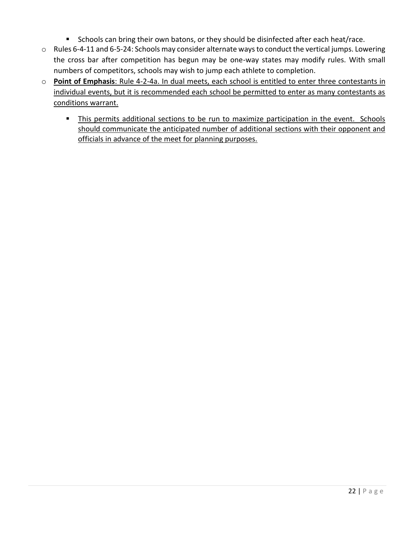- Schools can bring their own batons, or they should be disinfected after each heat/race.
- o Rules 6-4-11 and 6-5-24: Schools may consider alternate ways to conduct the vertical jumps. Lowering the cross bar after competition has begun may be one-way states may modify rules. With small numbers of competitors, schools may wish to jump each athlete to completion.
- o **Point of Emphasis**: Rule 4-2-4a. In dual meets, each school is entitled to enter three contestants in individual events, but it is recommended each school be permitted to enter as many contestants as conditions warrant.
	- **EXTER 15 This permits additional sections to be run to maximize participation in the event. Schools** should communicate the anticipated number of additional sections with their opponent and officials in advance of the meet for planning purposes.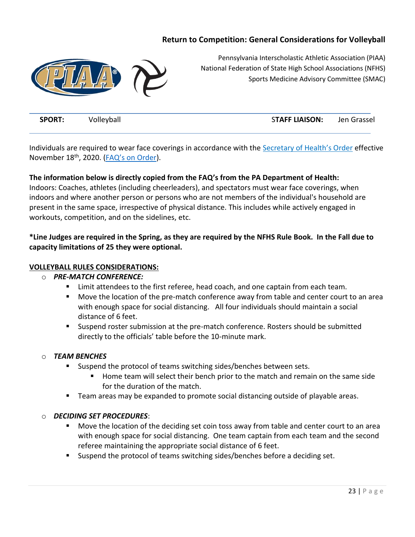# **Return to Competition: General Considerations for Volleyball**



Pennsylvania Interscholastic Athletic Association (PIAA) National Federation of State High School Associations (NFHS) Sports Medicine Advisory Committee (SMAC)

**SPORT:** Volleyball SPORT: Volleyball STAFF LIAISON: Jen Grassel

Individuals are required to wear face coverings in accordance with the [Secretary of Health's Order](https://www.health.pa.gov/topics/Documents/Diseases%20and%20Conditions/Updated%20Order%20of%20the%20Secretary%20Requiring%20Universal%20Face%20Coverings.pdf) effective November 18<sup>th</sup>, 2020. ([FAQ's on Order](https://www.health.pa.gov/topics/disease/coronavirus/Pages/Guidance/Universal-Masking-FAQ.aspx#:~:text=The%20Order%20requires%20individuals%20to%20wear%20a%20face%20covering%20when,to%20maintain%20sustained%20physical%20distance.)).

#### **The information below is directly copied from the FAQ's from the PA Department of Health:**

Indoors: Coaches, athletes (including cheerleaders), and spectators must wear face coverings, when indoors and where another person or persons who are not members of the individual's household are present in the same space, irrespective of physical distance. This includes while actively engaged in workouts, competition, and on the sidelines, etc.

**\*Line Judges are required in the Spring, as they are required by the NFHS Rule Book. In the Fall due to capacity limitations of 25 they were optional.** 

#### **VOLLEYBALL RULES CONSIDERATIONS:**

#### o *PRE-MATCH CONFERENCE:*

- Limit attendees to the first referee, head coach, and one captain from each team.
- Move the location of the pre-match conference away from table and center court to an area with enough space for social distancing. All four individuals should maintain a social distance of 6 feet.
- Suspend roster submission at the pre-match conference. Rosters should be submitted directly to the officials' table before the 10-minute mark.

#### o *TEAM BENCHES*

- Suspend the protocol of teams switching sides/benches between sets.
	- Home team will select their bench prior to the match and remain on the same side for the duration of the match.
- Team areas may be expanded to promote social distancing outside of playable areas.

#### o *DECIDING SET PROCEDURES*:

- Move the location of the deciding set coin toss away from table and center court to an area with enough space for social distancing. One team captain from each team and the second referee maintaining the appropriate social distance of 6 feet.
- Suspend the protocol of teams switching sides/benches before a deciding set.